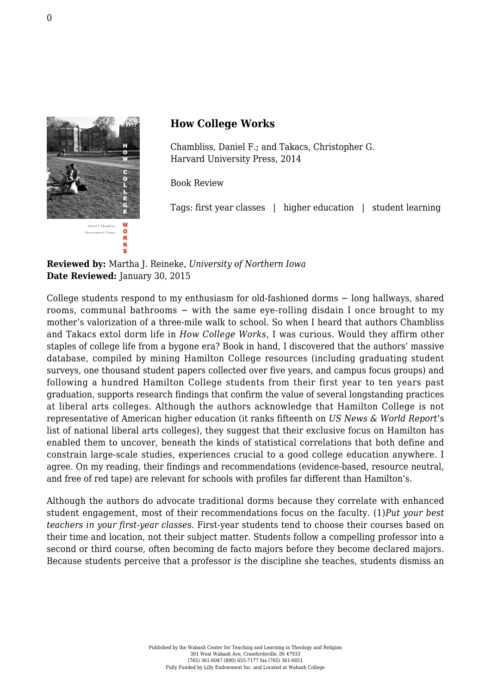

S

## **How College Works**

Chambliss, Daniel F.; and Takacs, Christopher G. [Harvard University Press, 2014](http://www.hup.harvard.edu/catalog.php?isbn=9780674049024)

Book Review

Tags: first year classes | higher education | student learning

## **Reviewed by:** Martha J. Reineke, *University of Northern Iowa* **Date Reviewed:** January 30, 2015

College students respond to my enthusiasm for old-fashioned dorms − long hallways, shared rooms, communal bathrooms − with the same eye-rolling disdain I once brought to my mother's valorization of a three-mile walk to school. So when I heard that authors Chambliss and Takacs extol dorm life in *How College Works*, I was curious. Would they affirm other staples of college life from a bygone era? Book in hand, I discovered that the authors' massive database, compiled by mining Hamilton College resources (including graduating student surveys, one thousand student papers collected over five years, and campus focus groups) and following a hundred Hamilton College students from their first year to ten years past graduation, supports research findings that confirm the value of several longstanding practices at liberal arts colleges. Although the authors acknowledge that Hamilton College is not representative of American higher education (it ranks fifteenth on *US News & World Report*'s list of national liberal arts colleges), they suggest that their exclusive focus on Hamilton has enabled them to uncover, beneath the kinds of statistical correlations that both define and constrain large-scale studies, experiences crucial to a good college education anywhere. I agree. On my reading, their findings and recommendations (evidence-based, resource neutral, and free of red tape) are relevant for schools with profiles far different than Hamilton's.

Although the authors do advocate traditional dorms because they correlate with enhanced student engagement, most of their recommendations focus on the faculty. (1)*Put your best teachers in your first-year classes*. First-year students tend to choose their courses based on their time and location, not their subject matter. Students follow a compelling professor into a second or third course, often becoming de facto majors before they become declared majors. Because students perceive that a professor *is* the discipline she teaches, students dismiss an